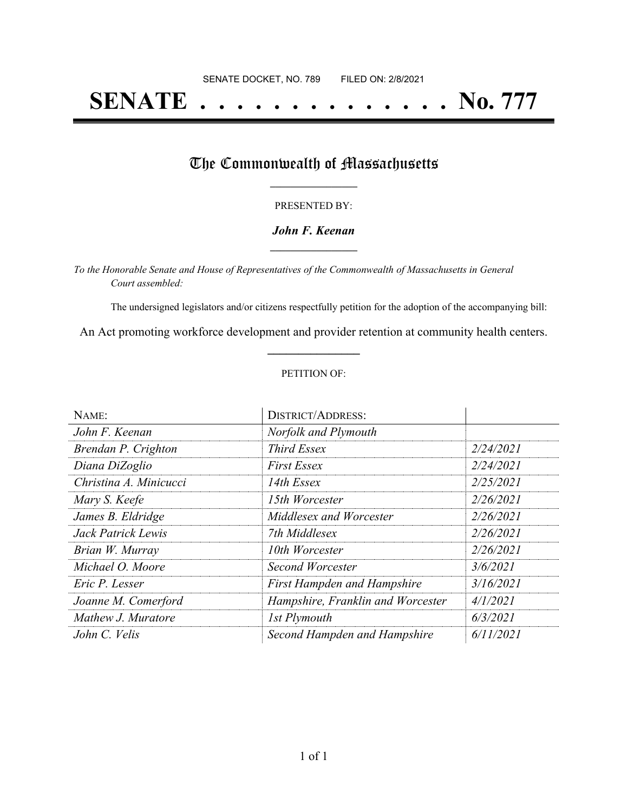# **SENATE . . . . . . . . . . . . . . No. 777**

## The Commonwealth of Massachusetts

#### PRESENTED BY:

#### *John F. Keenan* **\_\_\_\_\_\_\_\_\_\_\_\_\_\_\_\_\_**

*To the Honorable Senate and House of Representatives of the Commonwealth of Massachusetts in General Court assembled:*

The undersigned legislators and/or citizens respectfully petition for the adoption of the accompanying bill:

An Act promoting workforce development and provider retention at community health centers. **\_\_\_\_\_\_\_\_\_\_\_\_\_\_\_**

#### PETITION OF:

| NAME:                  | <b>DISTRICT/ADDRESS:</b>           |           |
|------------------------|------------------------------------|-----------|
| John F. Keenan         | Norfolk and Plymouth               |           |
| Brendan P. Crighton    | <b>Third Essex</b>                 | 2/24/2021 |
| Diana DiZoglio         | <b>First Essex</b>                 | 2/24/2021 |
| Christina A. Minicucci | 14th Essex                         | 2/25/2021 |
| Mary S. Keefe          | 15th Worcester                     | 2/26/2021 |
| James B. Eldridge      | Middlesex and Worcester            | 2/26/2021 |
| Jack Patrick Lewis     | 7th Middlesex                      | 2/26/2021 |
| Brian W. Murray        | 10th Worcester                     | 2/26/2021 |
| Michael O. Moore       | Second Worcester                   | 3/6/2021  |
| Eric P. Lesser         | <b>First Hampden and Hampshire</b> | 3/16/2021 |
| Joanne M. Comerford    | Hampshire, Franklin and Worcester  | 4/1/2021  |
| Mathew J. Muratore     | 1st Plymouth                       | 6/3/2021  |
| John C. Velis          | Second Hampden and Hampshire       | 6/11/2021 |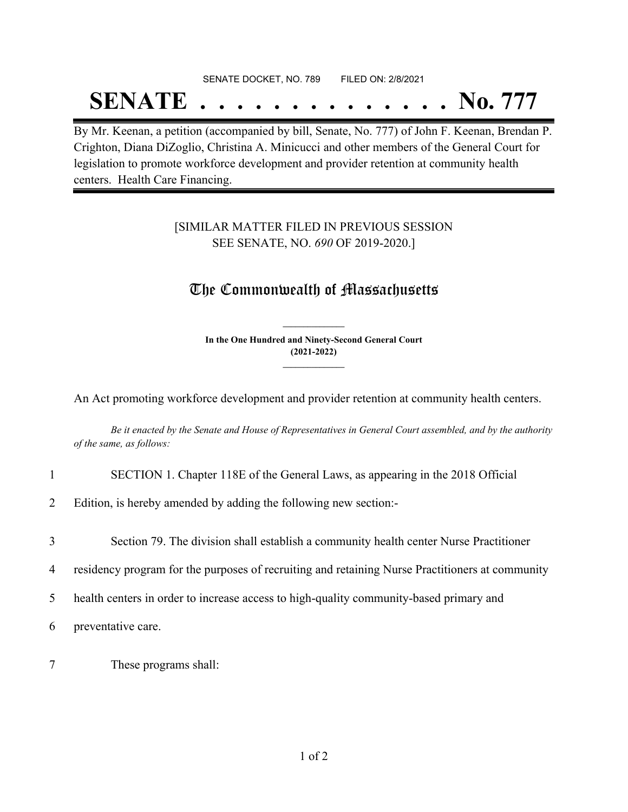## SENATE DOCKET, NO. 789 FILED ON: 2/8/2021 **SENATE . . . . . . . . . . . . . . No. 777**

By Mr. Keenan, a petition (accompanied by bill, Senate, No. 777) of John F. Keenan, Brendan P. Crighton, Diana DiZoglio, Christina A. Minicucci and other members of the General Court for legislation to promote workforce development and provider retention at community health centers. Health Care Financing.

### [SIMILAR MATTER FILED IN PREVIOUS SESSION SEE SENATE, NO. *690* OF 2019-2020.]

## The Commonwealth of Massachusetts

**In the One Hundred and Ninety-Second General Court (2021-2022) \_\_\_\_\_\_\_\_\_\_\_\_\_\_\_**

**\_\_\_\_\_\_\_\_\_\_\_\_\_\_\_**

An Act promoting workforce development and provider retention at community health centers.

Be it enacted by the Senate and House of Representatives in General Court assembled, and by the authority *of the same, as follows:*

- 1 SECTION 1. Chapter 118E of the General Laws, as appearing in the 2018 Official
- 2 Edition, is hereby amended by adding the following new section:-
- 3 Section 79. The division shall establish a community health center Nurse Practitioner
- 4 residency program for the purposes of recruiting and retaining Nurse Practitioners at community
- 5 health centers in order to increase access to high-quality community-based primary and

6 preventative care.

7 These programs shall: